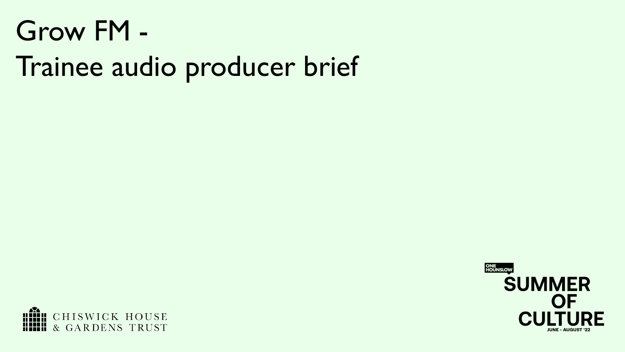# Grow FM -

# Trainee audio producer brief



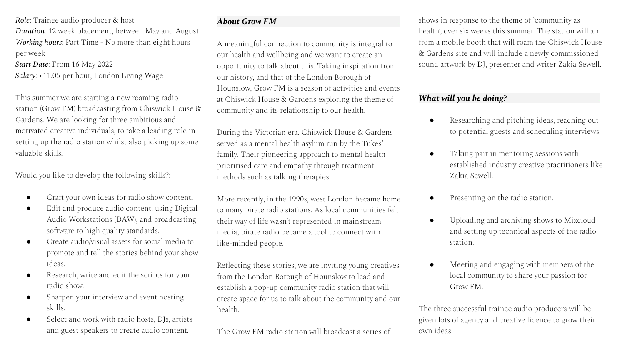*Role*: Trainee audio producer & host *Duration*: 12 week placement, between May and August *Working hours*: Part Time - No more than eight hours per week

*Start Date*: From 16 May 2022 *Salary*: £11.05 per hour, London Living Wage

This summer we are starting a new roaming radio station (Grow FM) broadcasting from Chiswick House & Gardens. We are looking for three ambitious and motivated creative individuals, to take a leading role in setting up the radio station whilst also picking up some valuable skills.

Would you like to develop the following skills?:

- Craft your own ideas for radio show content.
- Edit and produce audio content, using Digital Audio Workstations (DAW), and broadcasting software to high quality standards.
- Create audio/visual assets for social media to promote and tell the stories behind your show ideas.
- Research, write and edit the scripts for your radio show.
- Sharpen your interview and event hosting skills.
- Select and work with radio hosts, DJs, artists and guest speakers to create audio content.

# *About Grow FM .*

A meaningful connection to community is integral to our health and wellbeing and we want to create an opportunity to talk about this. Taking inspiration from our history, and that of the London Borough of Hounslow, Grow FM is a season of activities and events at Chiswick House & Gardens exploring the theme of community and its relationship to our health.

During the Victorian era, Chiswick House & Gardens served as a mental health asylum run by the Tukes' family. Their pioneering approach to mental health prioritised care and empathy through treatment methods such as talking therapies.

More recently, in the 1990s, west London became home to many pirate radio stations. As local communities felt their way of life wasn't represented in mainstream media, pirate radio became a tool to connect with like-minded people.

Reflecting these stories, we are inviting young creatives from the London Borough of Hounslow to lead and establish a pop-up community radio station that will create space for us to talk about the community and our health.

The Grow FM radio station will broadcast a series of

shows in response to the theme of 'community as health', over six weeks this summer. The station will air from a mobile booth that will roam the Chiswick House & Gardens site and will include a newly commissioned sound artwork by DJ, presenter and writer Zakia Sewell.

### *What will you be doing? .*

- Researching and pitching ideas, reaching out to potential guests and scheduling interviews.
- Taking part in mentoring sessions with established industry creative practitioners like Zakia Sewell.
- Presenting on the radio station.
- Uploading and archiving shows to Mixcloud and setting up technical aspects of the radio station.
- Meeting and engaging with members of the local community to share your passion for Grow FM.

The three successful trainee audio producers will be given lots of agency and creative licence to grow their own ideas.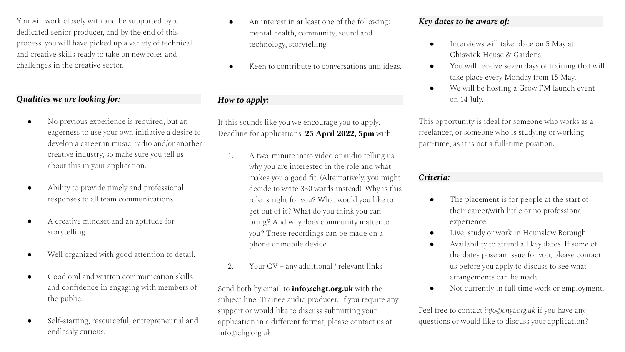You will work closely with and be supported by a dedicated senior producer, and by the end of this process, you will have picked up a variety of technical and creative skills ready to take on new roles and challenges in the creative sector.

### *Qualities we are looking for: .*

- No previous experience is required, but an eagerness to use your own initiative a desire to develop a career in music, radio and/or another creative industry, so make sure you tell us about this in your application.
- Ability to provide timely and professional responses to all team communications.
- A creative mindset and an aptitude for storytelling.
- Well organized with good attention to detail.
- Good oral and written communication skills and confidence in engaging with members of the public.
- Self-starting, resourceful, entrepreneurial and endlessly curious.
- An interest in at least one of the following: mental health, community, sound and technology, storytelling.
- Keen to contribute to conversations and ideas.

## *How to apply: .*

If this sounds like you we encourage you to apply. Deadline for applications: **25 April 2022, 5pm** with:

- 1. A two-minute intro video or audio telling us why you are interested in the role and what makes you a good fit. (Alternatively, you might decide to write 350 words instead). Why is this role is right for you? What would you like to get out of it? What do you think you can bring? And why does community matter to you? These recordings can be made on a phone or mobile device.
- 2. Your CV + any additional / relevant links

Send both by email to **info@chgt.org.uk** with the subject line: Trainee audio producer. If you require any support or would like to discuss submitting your application in a different format, please contact us at info@chg.org.uk

### *Key dates to be aware of: .*

- Interviews will take place on 5 May at Chiswick House & Gardens
- You will receive seven days of training that will take place every Monday from 15 May.
- We will be hosting a Grow FM launch event on 14 July.

This opportunity is ideal for someone who works as a freelancer, or someone who is studying or working part-time, as it is not a full-time position.

#### *Criteria: .*

- The placement is for people at the start of their career/with little or no professional experience.
- Live, study or work in Hounslow Borough
- Availability to attend all key dates. If some of the dates pose an issue for you, please contact us before you apply to discuss to see what arrangements can be made.
- Not currently in full time work or employment.

Feel free to contact *[info@chgt.org.uk](mailto:info@chg.org.uk)* if you have any questions or would like to discuss your application?